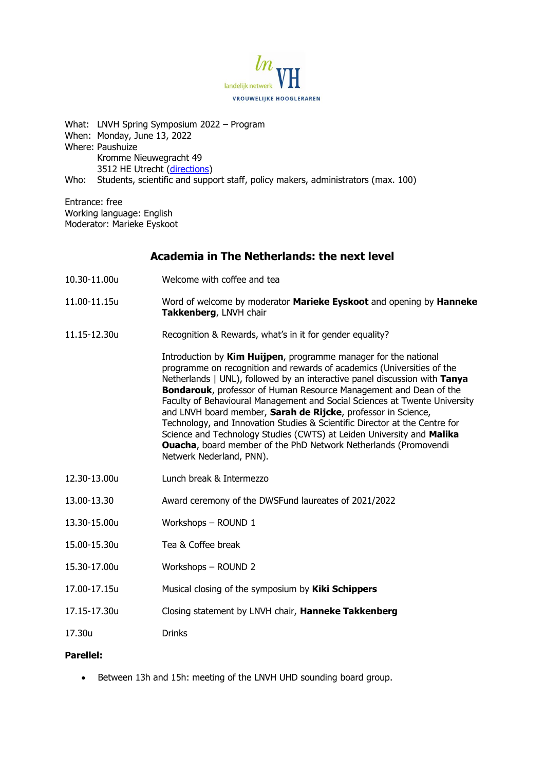

What: LNVH Spring Symposium 2022 – Program When: Monday, June 13, 2022 Where: Paushuize Kromme Nieuwegracht 49 3512 HE Utrecht [\(directions\)](https://www.heirloom.nl/beheer/wp-content/uploads/2021/02/2.2-Routebeschrijving-naar-Paushuize.pdf) Who: Students, scientific and support staff, policy makers, administrators (max. 100)

Entrance: free Working language: English Moderator: Marieke Eyskoot

# **Academia in The Netherlands: the next level**

- 10.30-11.00u Welcome with coffee and tea
- 11.00-11.15u Word of welcome by moderator **Marieke Eyskoot** and opening by **Hanneke Takkenberg**, LNVH chair
- 11.15-12.30u Recognition & Rewards, what's in it for gender equality?

Introduction by **Kim Huijpen**, programme manager for the national programme on recognition and rewards of academics (Universities of the Netherlands | UNL), followed by an interactive panel discussion with **Tanya Bondarouk**, professor of Human Resource Management and Dean of the Faculty of Behavioural Management and Social Sciences at Twente University and LNVH board member, **Sarah de Rijcke**, professor in Science, Technology, and Innovation Studies & Scientific Director at the Centre for Science and Technology Studies (CWTS) at Leiden University and **Malika Ouacha**, board member of the PhD Network Netherlands (Promovendi Netwerk Nederland, PNN).

- 12.30-13.00u Lunch break & Intermezzo
- 13.00-13.30 Award ceremony of the DWSFund laureates of 2021/2022
- 13.30-15.00u Workshops ROUND 1
- 15.00-15.30u Tea & Coffee break
- 15.30-17.00u Workshops ROUND 2
- 17.00-17.15u Musical closing of the symposium by **Kiki Schippers**
- 17.15-17.30u Closing statement by LNVH chair, **Hanneke Takkenberg**
- 17.30u Drinks

#### **Parellel:**

• Between 13h and 15h: meeting of the LNVH UHD sounding board group.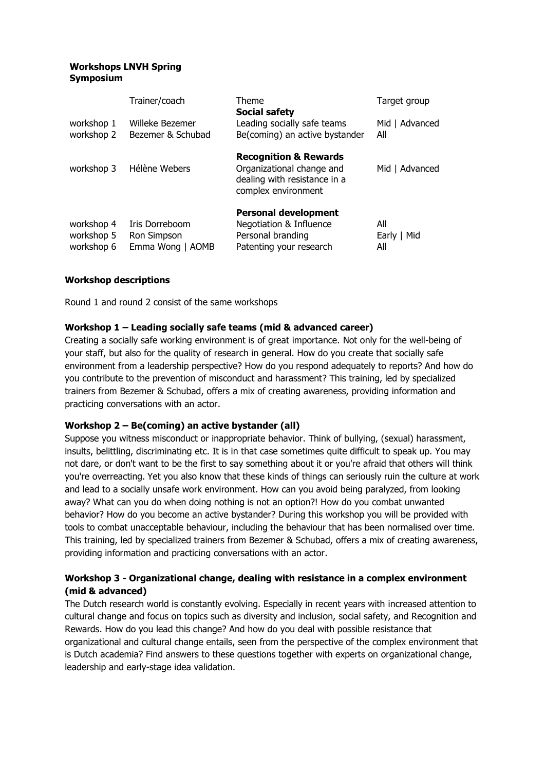### **Workshops LNVH Spring Symposium**

|                                        | Trainer/coach                                     | Theme<br><b>Social safety</b>                                                                                        | Target group              |
|----------------------------------------|---------------------------------------------------|----------------------------------------------------------------------------------------------------------------------|---------------------------|
| workshop 1<br>workshop 2               | Willeke Bezemer<br>Bezemer & Schubad              | Leading socially safe teams<br>Be(coming) an active bystander                                                        | Mid   Advanced<br>All     |
| workshop 3                             | Hélène Webers                                     | <b>Recognition &amp; Rewards</b><br>Organizational change and<br>dealing with resistance in a<br>complex environment | Mid   Advanced            |
| workshop 4<br>workshop 5<br>workshop 6 | Iris Dorreboom<br>Ron Simpson<br>Emma Wong   AOMB | <b>Personal development</b><br>Negotiation & Influence<br>Personal branding<br>Patenting your research               | All<br>Early   Mid<br>All |

# **Workshop descriptions**

Round 1 and round 2 consist of the same workshops

# **Workshop 1 – Leading socially safe teams (mid & advanced career)**

Creating a socially safe working environment is of great importance. Not only for the well-being of your staff, but also for the quality of research in general. How do you create that socially safe environment from a leadership perspective? How do you respond adequately to reports? And how do you contribute to the prevention of misconduct and harassment? This training, led by specialized trainers from Bezemer & Schubad, offers a mix of creating awareness, providing information and practicing conversations with an actor.

#### **Workshop 2 – Be(coming) an active bystander (all)**

Suppose you witness misconduct or inappropriate behavior. Think of bullying, (sexual) harassment, insults, belittling, discriminating etc. It is in that case sometimes quite difficult to speak up. You may not dare, or don't want to be the first to say something about it or you're afraid that others will think you're overreacting. Yet you also know that these kinds of things can seriously ruin the culture at work and lead to a socially unsafe work environment. How can you avoid being paralyzed, from looking away? What can you do when doing nothing is not an option?! How do you combat unwanted behavior? How do you become an active bystander? During this workshop you will be provided with tools to combat unacceptable behaviour, including the behaviour that has been normalised over time. This training, led by specialized trainers from Bezemer & Schubad, offers a mix of creating awareness, providing information and practicing conversations with an actor.

# **Workshop 3 - Organizational change, dealing with resistance in a complex environment (mid & advanced)**

The Dutch research world is constantly evolving. Especially in recent years with increased attention to cultural change and focus on topics such as diversity and inclusion, social safety, and Recognition and Rewards. How do you lead this change? And how do you deal with possible resistance that organizational and cultural change entails, seen from the perspective of the complex environment that is Dutch academia? Find answers to these questions together with experts on organizational change, leadership and early-stage idea validation.